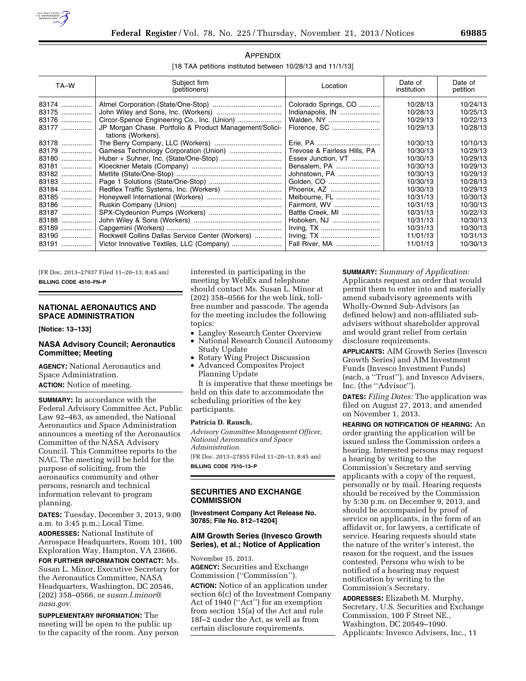

| APPENDIX                                                   |
|------------------------------------------------------------|
| [18 TAA petitions instituted between 10/28/13 and 11/1/13] |

| TA-W  | Subject firm<br>(petitioners)                                                 | Location                     | Date of<br>institution | Date of<br>petition |
|-------|-------------------------------------------------------------------------------|------------------------------|------------------------|---------------------|
| 83174 |                                                                               | Colorado Springs, CO         | 10/28/13               | 10/24/13            |
| 83175 |                                                                               | Indianapolis, IN             | 10/28/13               | 10/25/13            |
| 83176 |                                                                               | Walden, NY                   | 10/29/13               | 10/22/13            |
| 83177 | JP Morgan Chase. Portfolio & Product Management/Solici-<br>tations (Workers). | Florence, SC                 | 10/29/13               | 10/28/13            |
| 83178 |                                                                               |                              | 10/30/13               | 10/10/13            |
| 83179 |                                                                               | Trevose & Fairless Hills, PA | 10/30/13               | 10/29/13            |
| 83180 |                                                                               | Essex Junction, VT           | 10/30/13               | 10/29/13            |
| 83181 |                                                                               | Bensalem, PA                 | 10/30/13               | 10/29/13            |
| 83182 |                                                                               | Johnstown, PA                | 10/30/13               | 10/29/13            |
| 83183 |                                                                               | Golden, CO                   | 10/30/13               | 10/28/13            |
| 83184 |                                                                               | Phoenix, AZ                  | 10/30/13               | 10/29/13            |
| 83185 |                                                                               | Melbourne, FL                | 10/31/13               | 10/30/13            |
| 83186 |                                                                               | Fairmont, WV                 | 10/31/13               | 10/30/13            |
| 83187 |                                                                               | Battle Creek, MI             | 10/31/13               | 10/22/13            |
| 83188 |                                                                               | Hoboken, NJ                  | 10/31/13               | 10/30/13            |
| 83189 |                                                                               | Irving, TX                   | 10/31/13               | 10/30/13            |
| 83190 | Rockwell Collins Dallas Service Center (Workers)                              | Irving, TX                   | 11/01/13               | 10/31/13            |
| 83191 |                                                                               | Fall River, MA               | 11/01/13               | 10/30/13            |

[FR Doc. 2013–27937 Filed 11–20–13; 8:45 am] **BILLING CODE 4510–FN–P** 

# **NATIONAL AERONAUTICS AND SPACE ADMINISTRATION**

**[Notice: 13–133]** 

### **NASA Advisory Council; Aeronautics Committee; Meeting**

**AGENCY:** National Aeronautics and Space Administration. **ACTION:** Notice of meeting.

**SUMMARY:** In accordance with the Federal Advisory Committee Act, Public Law 92–463, as amended, the National Aeronautics and Space Administration announces a meeting of the Aeronautics Committee of the NASA Advisory Council. This Committee reports to the NAC. The meeting will be held for the purpose of soliciting, from the aeronautics community and other persons, research and technical information relevant to program planning.

**DATES:** Tuesday, December 3, 2013, 9:00 a.m. to 3:45 p.m.; Local Time.

**ADDRESSES:** National Institute of Aerospace Headquarters, Room 101, 100 Exploration Way, Hampton, VA 23666.

**FOR FURTHER INFORMATION CONTACT:** Ms. Susan L. Minor, Executive Secretary for the Aeronautics Committee, NASA Headquarters, Washington, DC 20546, (202) 358–0566, or *[susan.l.minor@](mailto:susan.l.minor@nasa.gov) [nasa.gov.](mailto:susan.l.minor@nasa.gov)* 

**SUPPLEMENTARY INFORMATION:** The meeting will be open to the public up to the capacity of the room. Any person interested in participating in the meeting by WebEx and telephone should contact Ms. Susan L. Minor at (202) 358–0566 for the web link, tollfree number and passcode. The agenda for the meeting includes the following topics:

- Langley Research Center Overview
- National Research Council Autonomy Study Update
- Rotary Wing Project Discussion
- Advanced Composites Project Planning Update

It is imperative that these meetings be held on this date to accommodate the scheduling priorities of the key participants.

### **Patricia D. Rausch,**

*Advisory Committee Management Officer, National Aeronautics and Space Administration.* 

[FR Doc. 2013–27855 Filed 11–20–13; 8:45 am] **BILLING CODE 7510–13–P** 

## **SECURITIES AND EXCHANGE COMMISSION**

**[Investment Company Act Release No. 30785; File No. 812–14204]** 

# **AIM Growth Series (Invesco Growth Series), et al.; Notice of Application**

November 15, 2013. **AGENCY:** Securities and Exchange Commission (''Commission''). **ACTION:** Notice of an application under section 6(c) of the Investment Company Act of 1940 (''Act'') for an exemption from section 15(a) of the Act and rule 18f–2 under the Act, as well as from certain disclosure requirements.

**SUMMARY:** *Summary of Application:*  Applicants request an order that would permit them to enter into and materially amend subadvisory agreements with Wholly-Owned Sub-Advisors (as defined below) and non-affiliated subadvisers without shareholder approval and would grant relief from certain disclosure requirements.

**APPLICANTS:** AIM Growth Series (Invesco Growth Series) and AIM Investment Funds (Invesco Investment Funds) (each, a ''Trust''), and Invesco Advisers, Inc. (the ''Advisor'').

**DATES:** *Filing Dates:* The application was filed on August 27, 2013, and amended on November 1, 2013.

**HEARING OR NOTIFICATION OF HEARING:** An order granting the application will be issued unless the Commission orders a hearing. Interested persons may request a hearing by writing to the Commission's Secretary and serving applicants with a copy of the request, personally or by mail. Hearing requests should be received by the Commission by 5:30 p.m. on December 9, 2013, and should be accompanied by proof of service on applicants, in the form of an affidavit or, for lawyers, a certificate of service. Hearing requests should state the nature of the writer's interest, the reason for the request, and the issues contested. Persons who wish to be notified of a hearing may request notification by writing to the Commission's Secretary.

**ADDRESSES:** Elizabeth M. Murphy, Secretary, U.S. Securities and Exchange Commission, 100 F Street NE., Washington, DC 20549–1090. Applicants: Invesco Advisers, Inc., 11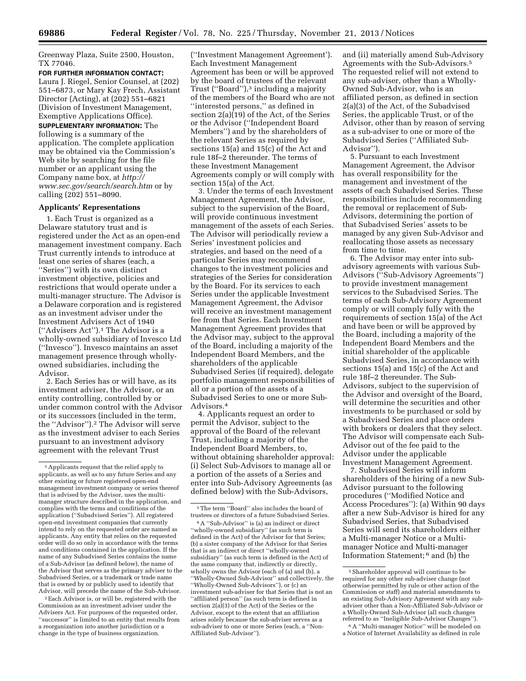Greenway Plaza, Suite 2500, Houston, TX 77046.

**FOR FURTHER INFORMATION CONTACT:**  Laura J. Riegel, Senior Counsel, at (202) 551–6873, or Mary Kay Frech, Assistant Director (Acting), at (202) 551–6821 (Division of Investment Management, Exemptive Applications Office).

**SUPPLEMENTARY INFORMATION:** The following is a summary of the application. The complete application may be obtained via the Commission's Web site by searching for the file number or an applicant using the Company name box, at *[http://](http://www.sec.gov/search/search.htm) [www.sec.gov/search/search.htm](http://www.sec.gov/search/search.htm)* or by calling (202) 551–8090.

### **Applicants' Representations**

1. Each Trust is organized as a Delaware statutory trust and is registered under the Act as an open-end management investment company. Each Trust currently intends to introduce at least one series of shares (each, a ''Series'') with its own distinct investment objective, policies and restrictions that would operate under a multi-manager structure. The Advisor is a Delaware corporation and is registered as an investment adviser under the Investment Advisers Act of 1940 (''Advisers Act'').1 The Advisor is a wholly-owned subsidiary of Invesco Ltd (''Invesco''). Invesco maintains an asset management presence through whollyowned subsidiaries, including the Advisor.

2. Each Series has or will have, as its investment adviser, the Advisor, or an entity controlling, controlled by or under common control with the Advisor or its successors (included in the term, the ''Advisor'').2 The Advisor will serve as the investment adviser to each Series pursuant to an investment advisory agreement with the relevant Trust

2Each Advisor is, or will be, registered with the Commission as an investment adviser under the Advisers Act. For purposes of the requested order, ''successor'' is limited to an entity that results from a reorganization into another jurisdiction or a change in the type of business organization.

(''Investment Management Agreement'). Each Investment Management Agreement has been or will be approved by the board of trustees of the relevant Trust (''Board''),3 including a majority of the members of the Board who are not ''interested persons,'' as defined in section 2(a)(19) of the Act, of the Series or the Advisor (''Independent Board Members'') and by the shareholders of the relevant Series as required by sections 15(a) and 15(c) of the Act and rule 18f–2 thereunder. The terms of these Investment Management Agreements comply or will comply with section 15(a) of the Act.

3. Under the terms of each Investment Management Agreement, the Advisor, subject to the supervision of the Board, will provide continuous investment management of the assets of each Series. The Advisor will periodically review a Series' investment policies and strategies, and based on the need of a particular Series may recommend changes to the investment policies and strategies of the Series for consideration by the Board. For its services to each Series under the applicable Investment Management Agreement, the Advisor will receive an investment management fee from that Series. Each Investment Management Agreement provides that the Advisor may, subject to the approval of the Board, including a majority of the Independent Board Members, and the shareholders of the applicable Subadvised Series (if required), delegate portfolio management responsibilities of all or a portion of the assets of a Subadvised Series to one or more Sub-Advisors.4

4. Applicants request an order to permit the Advisor, subject to the approval of the Board of the relevant Trust, including a majority of the Independent Board Members, to, without obtaining shareholder approval: (i) Select Sub-Advisors to manage all or a portion of the assets of a Series and enter into Sub-Advisory Agreements (as defined below) with the Sub-Advisors,

and (ii) materially amend Sub-Advisory Agreements with the Sub-Advisors.5 The requested relief will not extend to any sub-adviser, other than a Wholly-Owned Sub-Advisor, who is an affiliated person, as defined in section 2(a)(3) of the Act, of the Subadvised Series, the applicable Trust, or of the Advisor, other than by reason of serving as a sub-adviser to one or more of the Subadvised Series (''Affiliated Sub-Advisor'').

5. Pursuant to each Investment Management Agreement, the Advisor has overall responsibility for the management and investment of the assets of each Subadvised Series. These responsibilities include recommending the removal or replacement of Sub-Advisors, determining the portion of that Subadvised Series' assets to be managed by any given Sub-Advisor and reallocating those assets as necessary from time to time.

6. The Advisor may enter into subadvisory agreements with various Sub-Advisors (''Sub-Advisory Agreements'') to provide investment management services to the Subadvised Series. The terms of each Sub-Advisory Agreement comply or will comply fully with the requirements of section 15(a) of the Act and have been or will be approved by the Board, including a majority of the Independent Board Members and the initial shareholder of the applicable Subadvised Series, in accordance with sections 15(a) and 15(c) of the Act and rule 18f–2 thereunder. The Sub-Advisors, subject to the supervision of the Advisor and oversight of the Board, will determine the securities and other investments to be purchased or sold by a Subadvised Series and place orders with brokers or dealers that they select. The Advisor will compensate each Sub-Advisor out of the fee paid to the Advisor under the applicable Investment Management Agreement.

7. Subadvised Series will inform shareholders of the hiring of a new Sub-Advisor pursuant to the following procedures (''Modified Notice and Access Procedures''): (a) Within 90 days after a new Sub-Advisor is hired for any Subadvised Series, that Subadvised Series will send its shareholders either a Multi-manager Notice or a Multimanager Notice and Multi-manager Information Statement; 6 and (b) the

6A ''Multi-manager Notice'' will be modeled on a Notice of Internet Availability as defined in rule

<sup>1</sup>Applicants request that the relief apply to applicants, as well as to any future Series and any other existing or future registered open-end management investment company or series thereof that is advised by the Advisor, uses the multimanager structure described in the application, and complies with the terms and conditions of the application (''Subadvised Series''). All registered open-end investment companies that currently intend to rely on the requested order are named as applicants. Any entity that relies on the requested order will do so only in accordance with the terms and conditions contained in the application. If the name of any Subadvised Series contains the name of a Sub-Advisor (as defined below), the name of the Advisor that serves as the primary adviser to the Subadvised Series, or a trademark or trade name that is owned by or publicly used to identify that Advisor, will precede the name of the Sub-Advisor.

<sup>3</sup>The term ''Board'' also includes the board of trustees or directors of a future Subadvised Series.

<sup>4</sup>A ''Sub-Advisor'' is (a) an indirect or direct ''wholly-owned subsidiary'' (as such term is defined in the Act) of the Advisor for that Series; (b) a sister company of the Advisor for that Series that is an indirect or direct ''wholly-owned subsidiary'' (as such term is defined in the Act) of the same company that, indirectly or directly, wholly owns the Advisor (each of (a) and (b), a ''Wholly-Owned Sub-Advisor'' and collectively, the ''Wholly-Owned Sub-Advisors''), or (c) an investment sub-adviser for that Series that is not an ''affiliated person'' (as such term is defined in section  $2(a)(3)$  of the Act) of the Series or the Advisor, except to the extent that an affiliation arises solely because the sub-adviser serves as a sub-adviser to one or more Series (each, a ''Non-Affiliated Sub-Advisor'').

<sup>5</sup>Shareholder approval will continue to be required for any other sub-adviser change (not otherwise permitted by rule or other action of the Commission or staff) and material amendments to an existing Sub-Advisory Agreement with any subadviser other than a Non-Affiliated Sub-Advisor or a Wholly-Owned Sub-Advisor (all such changes referred to as ''Ineligible Sub-Advisor Changes'').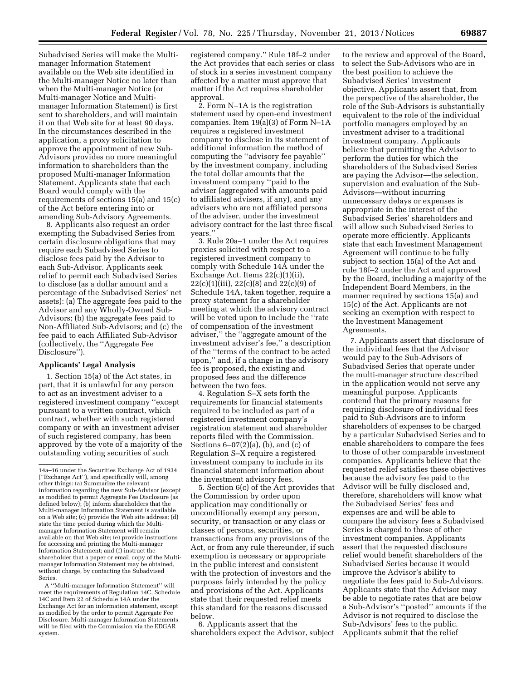Subadvised Series will make the Multimanager Information Statement available on the Web site identified in the Multi-manager Notice no later than when the Multi-manager Notice (or Multi-manager Notice and Multimanager Information Statement) is first sent to shareholders, and will maintain it on that Web site for at least 90 days. In the circumstances described in the application, a proxy solicitation to approve the appointment of new Sub-Advisors provides no more meaningful information to shareholders than the proposed Multi-manager Information

Statement. Applicants state that each Board would comply with the requirements of sections 15(a) and 15(c) of the Act before entering into or amending Sub-Advisory Agreements.

8. Applicants also request an order exempting the Subadvised Series from certain disclosure obligations that may require each Subadvised Series to disclose fees paid by the Advisor to each Sub-Advisor. Applicants seek relief to permit each Subadvised Series to disclose (as a dollar amount and a percentage of the Subadvised Series' net assets): (a) The aggregate fees paid to the Advisor and any Wholly-Owned Sub-Advisors; (b) the aggregate fees paid to Non-Affiliated Sub-Advisors; and (c) the fee paid to each Affiliated Sub-Advisor (collectively, the ''Aggregate Fee Disclosure'').

## **Applicants' Legal Analysis**

1. Section 15(a) of the Act states, in part, that it is unlawful for any person to act as an investment adviser to a registered investment company ''except pursuant to a written contract, which contract, whether with such registered company or with an investment adviser of such registered company, has been approved by the vote of a majority of the outstanding voting securities of such

A ''Multi-manager Information Statement'' will meet the requirements of Regulation 14C, Schedule 14C and Item 22 of Schedule 14A under the Exchange Act for an information statement, except as modified by the order to permit Aggregate Fee Disclosure. Multi-manager Information Statements will be filed with the Commission via the EDGAR system.

registered company.'' Rule 18f–2 under the Act provides that each series or class of stock in a series investment company affected by a matter must approve that matter if the Act requires shareholder approval.

2. Form N–1A is the registration statement used by open-end investment companies. Item 19(a)(3) of Form N–1A requires a registered investment company to disclose in its statement of additional information the method of computing the ''advisory fee payable'' by the investment company, including the total dollar amounts that the investment company ''paid to the adviser (aggregated with amounts paid to affiliated advisers, if any), and any advisers who are not affiliated persons of the adviser, under the investment advisory contract for the last three fiscal years.''

3. Rule 20a–1 under the Act requires proxies solicited with respect to a registered investment company to comply with Schedule 14A under the Exchange Act. Items 22(c)(1)(ii),  $22(c)(1)(iii)$ ,  $22(c)(8)$  and  $22(c)(9)$  of Schedule 14A, taken together, require a proxy statement for a shareholder meeting at which the advisory contract will be voted upon to include the ''rate of compensation of the investment adviser,'' the ''aggregate amount of the investment adviser's fee,'' a description of the ''terms of the contract to be acted upon,'' and, if a change in the advisory fee is proposed, the existing and proposed fees and the difference between the two fees.

4. Regulation S–X sets forth the requirements for financial statements required to be included as part of a registered investment company's registration statement and shareholder reports filed with the Commission. Sections  $6-07(2)(a)$ , (b), and (c) of Regulation S–X require a registered investment company to include in its financial statement information about the investment advisory fees.

5. Section 6(c) of the Act provides that the Commission by order upon application may conditionally or unconditionally exempt any person, security, or transaction or any class or classes of persons, securities, or transactions from any provisions of the Act, or from any rule thereunder, if such exemption is necessary or appropriate in the public interest and consistent with the protection of investors and the purposes fairly intended by the policy and provisions of the Act. Applicants state that their requested relief meets this standard for the reasons discussed below.

6. Applicants assert that the shareholders expect the Advisor, subject

to the review and approval of the Board, to select the Sub-Advisors who are in the best position to achieve the Subadvised Series' investment objective. Applicants assert that, from the perspective of the shareholder, the role of the Sub-Advisors is substantially equivalent to the role of the individual portfolio managers employed by an investment adviser to a traditional investment company. Applicants believe that permitting the Advisor to perform the duties for which the shareholders of the Subadvised Series are paying the Advisor—the selection, supervision and evaluation of the Sub-Advisors—without incurring unnecessary delays or expenses is appropriate in the interest of the Subadvised Series' shareholders and will allow such Subadvised Series to operate more efficiently. Applicants state that each Investment Management Agreement will continue to be fully subject to section 15(a) of the Act and rule 18f–2 under the Act and approved by the Board, including a majority of the Independent Board Members, in the manner required by sections 15(a) and 15(c) of the Act. Applicants are not seeking an exemption with respect to the Investment Management Agreements.

7. Applicants assert that disclosure of the individual fees that the Advisor would pay to the Sub-Advisors of Subadvised Series that operate under the multi-manager structure described in the application would not serve any meaningful purpose. Applicants contend that the primary reasons for requiring disclosure of individual fees paid to Sub-Advisors are to inform shareholders of expenses to be charged by a particular Subadvised Series and to enable shareholders to compare the fees to those of other comparable investment companies. Applicants believe that the requested relief satisfies these objectives because the advisory fee paid to the Advisor will be fully disclosed and, therefore, shareholders will know what the Subadvised Series' fees and expenses are and will be able to compare the advisory fees a Subadvised Series is charged to those of other investment companies. Applicants assert that the requested disclosure relief would benefit shareholders of the Subadvised Series because it would improve the Advisor's ability to negotiate the fees paid to Sub-Advisors. Applicants state that the Advisor may be able to negotiate rates that are below a Sub-Advisor's ''posted'' amounts if the Advisor is not required to disclose the Sub-Advisors' fees to the public. Applicants submit that the relief

<sup>14</sup>a–16 under the Securities Exchange Act of 1934 (''Exchange Act''), and specifically will, among other things: (a) Summarize the relevant information regarding the new Sub-Advisor (except as modified to permit Aggregate Fee Disclosure (as defined below); (b) inform shareholders that the Multi-manager Information Statement is available on a Web site; (c) provide the Web site address; (d) state the time period during which the Multimanager Information Statement will remain available on that Web site; (e) provide instructions for accessing and printing the Multi-manager Information Statement; and (f) instruct the shareholder that a paper or email copy of the Multimanager Information Statement may be obtained, without charge, by contacting the Subadvised Series.